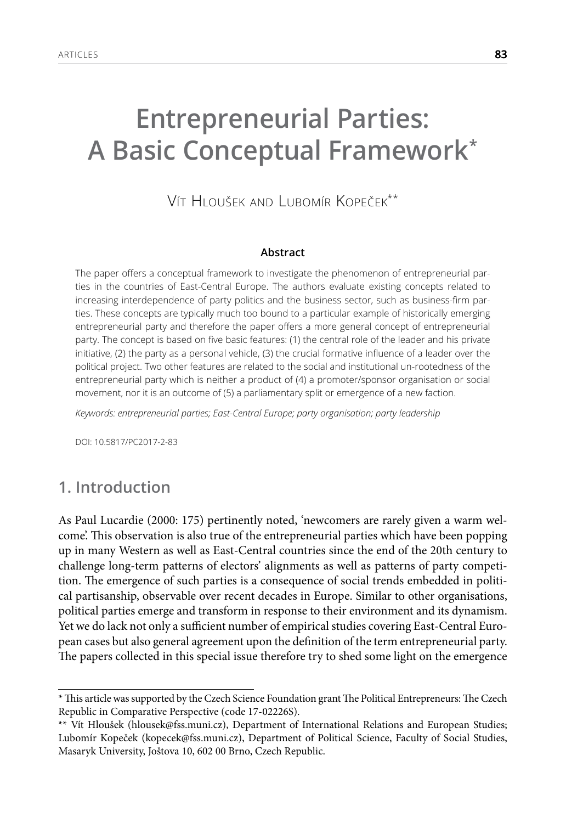# **Entrepreneurial Parties: A Basic Conceptual Framework\***

Vít Hloušek and Lubomír Kopeček\*\*

#### **Abstract**

The paper offers a conceptual framework to investigate the phenomenon of entrepreneurial parties in the countries of East-Central Europe. The authors evaluate existing concepts related to increasing interdependence of party politics and the business sector, such as business-firm parties. These concepts are typically much too bound to a particular example of historically emerging entrepreneurial party and therefore the paper offers a more general concept of entrepreneurial party. The concept is based on five basic features: (1) the central role of the leader and his private initiative, (2) the party as a personal vehicle, (3) the crucial formative influence of a leader over the political project. Two other features are related to the social and institutional un-rootedness of the entrepreneurial party which is neither a product of (4) a promoter/sponsor organisation or social movement, nor it is an outcome of (5) a parliamentary split or emergence of a new faction.

*Keywords: entrepreneurial parties; East-Central Europe; party organisation; party leadership*

DOI: 10.5817/PC2017-2-83

# **1. Introduction**

As Paul Lucardie (2000: 175) pertinently noted, 'newcomers are rarely given a warm welcome'. This observation is also true of the entrepreneurial parties which have been popping up in many Western as well as East-Central countries since the end of the 20th century to challenge long-term patterns of electors' alignments as well as patterns of party competition. The emergence of such parties is a consequence of social trends embedded in political partisanship, observable over recent decades in Europe. Similar to other organisations, political parties emerge and transform in response to their environment and its dynamism. Yet we do lack not only a sufficient number of empirical studies covering East-Central European cases but also general agreement upon the definition of the term entrepreneurial party. The papers collected in this special issue therefore try to shed some light on the emergence

<sup>\*</sup> This article was supported by the Czech Science Foundation grant The Political Entrepreneurs: The Czech Republic in Comparative Perspective (code 17-02226S).

<sup>\*\*</sup> Vít Hloušek (hlousek@fss.muni.cz), Department of International Relations and European Studies; Lubomír Kopeček (kopecek@fss.muni.cz), Department of Political Science, Faculty of Social Studies, Masaryk University, Joštova 10, 602 00 Brno, Czech Republic.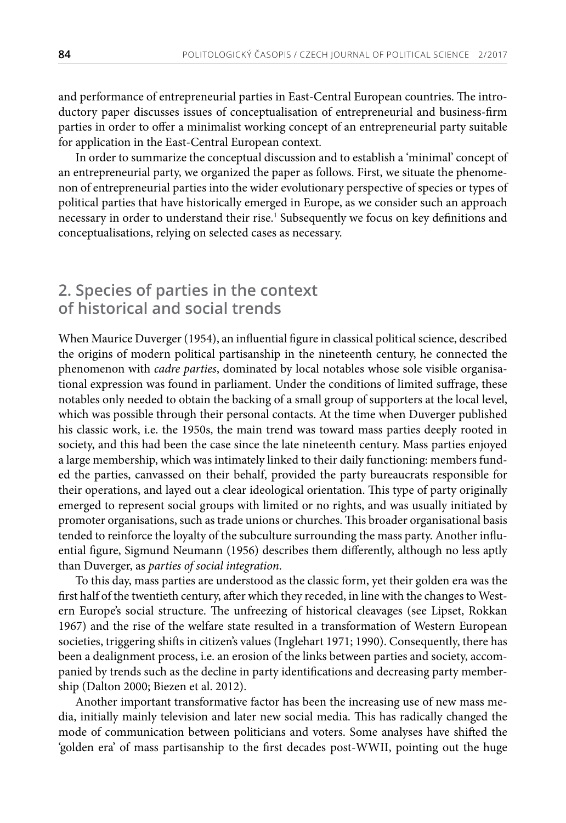and performance of entrepreneurial parties in East-Central European countries. The introductory paper discusses issues of conceptualisation of entrepreneurial and business-firm parties in order to offer a minimalist working concept of an entrepreneurial party suitable for application in the East-Central European context.

In order to summarize the conceptual discussion and to establish a 'minimal' concept of an entrepreneurial party, we organized the paper as follows. First, we situate the phenomenon of entrepreneurial parties into the wider evolutionary perspective of species or types of political parties that have historically emerged in Europe, as we consider such an approach necessary in order to understand their rise.1 Subsequently we focus on key definitions and conceptualisations, relying on selected cases as necessary.

# **2. Species of parties in the context of historical and social trends**

When Maurice Duverger (1954), an influential figure in classical political science, described the origins of modern political partisanship in the nineteenth century, he connected the phenomenon with *cadre parties*, dominated by local notables whose sole visible organisational expression was found in parliament. Under the conditions of limited suffrage, these notables only needed to obtain the backing of a small group of supporters at the local level, which was possible through their personal contacts. At the time when Duverger published his classic work, i.e. the 1950s, the main trend was toward mass parties deeply rooted in society, and this had been the case since the late nineteenth century. Mass parties enjoyed a large membership, which was intimately linked to their daily functioning: members funded the parties, canvassed on their behalf, provided the party bureaucrats responsible for their operations, and layed out a clear ideological orientation. This type of party originally emerged to represent social groups with limited or no rights, and was usually initiated by promoter organisations, such as trade unions or churches. This broader organisational basis tended to reinforce the loyalty of the subculture surrounding the mass party. Another influential figure, Sigmund Neumann (1956) describes them differently, although no less aptly than Duverger, as *parties of social integration*.

To this day, mass parties are understood as the classic form, yet their golden era was the first half of the twentieth century, after which they receded, in line with the changes to Western Europe's social structure. The unfreezing of historical cleavages (see Lipset, Rokkan 1967) and the rise of the welfare state resulted in a transformation of Western European societies, triggering shifts in citizen's values (Inglehart 1971; 1990). Consequently, there has been a dealignment process, i.e. an erosion of the links between parties and society, accompanied by trends such as the decline in party identifications and decreasing party membership (Dalton 2000; Biezen et al. 2012).

Another important transformative factor has been the increasing use of new mass media, initially mainly television and later new social media. This has radically changed the mode of communication between politicians and voters. Some analyses have shifted the 'golden era' of mass partisanship to the first decades post-WWII, pointing out the huge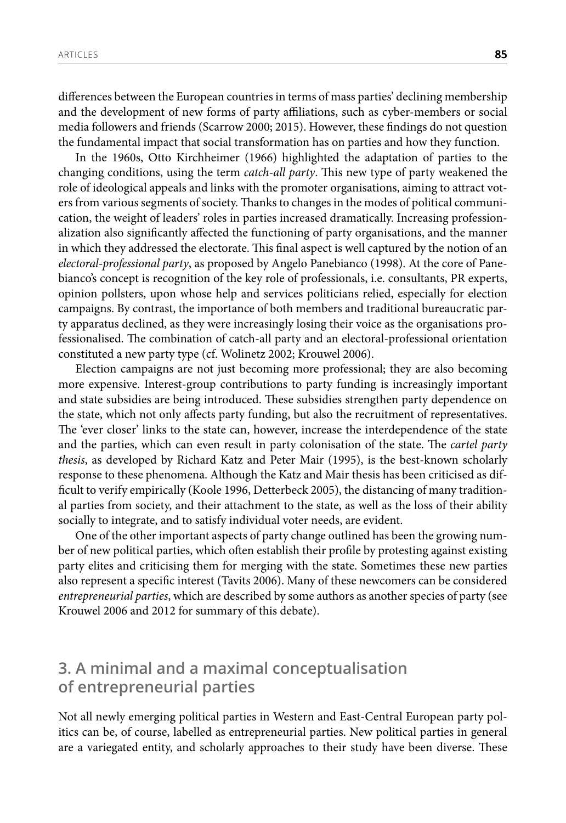differences between the European countries in terms of mass parties' declining membership and the development of new forms of party affiliations, such as cyber-members or social media followers and friends (Scarrow 2000; 2015). However, these findings do not question the fundamental impact that social transformation has on parties and how they function.

In the 1960s, Otto Kirchheimer (1966) highlighted the adaptation of parties to the changing conditions, using the term *catch-all party*. This new type of party weakened the role of ideological appeals and links with the promoter organisations, aiming to attract voters from various segments of society. Thanks to changes in the modes of political communication, the weight of leaders' roles in parties increased dramatically. Increasing professionalization also significantly affected the functioning of party organisations, and the manner in which they addressed the electorate. This final aspect is well captured by the notion of an *electoral-professional party*, as proposed by Angelo Panebianco (1998). At the core of Panebianco's concept is recognition of the key role of professionals, i.e. consultants, PR experts, opinion pollsters, upon whose help and services politicians relied, especially for election campaigns. By contrast, the importance of both members and traditional bureaucratic party apparatus declined, as they were increasingly losing their voice as the organisations professionalised. The combination of catch-all party and an electoral-professional orientation constituted a new party type (cf. Wolinetz 2002; Krouwel 2006).

Election campaigns are not just becoming more professional; they are also becoming more expensive. Interest-group contributions to party funding is increasingly important and state subsidies are being introduced. These subsidies strengthen party dependence on the state, which not only affects party funding, but also the recruitment of representatives. The 'ever closer' links to the state can, however, increase the interdependence of the state and the parties, which can even result in party colonisation of the state. The *cartel party thesis*, as developed by Richard Katz and Peter Mair (1995), is the best-known scholarly response to these phenomena. Although the Katz and Mair thesis has been criticised as difficult to verify empirically (Koole 1996, Detterbeck 2005), the distancing of many traditional parties from society, and their attachment to the state, as well as the loss of their ability socially to integrate, and to satisfy individual voter needs, are evident.

One of the other important aspects of party change outlined has been the growing number of new political parties, which often establish their profile by protesting against existing party elites and criticising them for merging with the state. Sometimes these new parties also represent a specific interest (Tavits 2006). Many of these newcomers can be considered *entrepreneurial parties*, which are described by some authors as another species of party (see Krouwel 2006 and 2012 for summary of this debate).

# **3. A minimal and a maximal conceptualisation of entrepreneurial parties**

Not all newly emerging political parties in Western and East-Central European party politics can be, of course, labelled as entrepreneurial parties. New political parties in general are a variegated entity, and scholarly approaches to their study have been diverse. These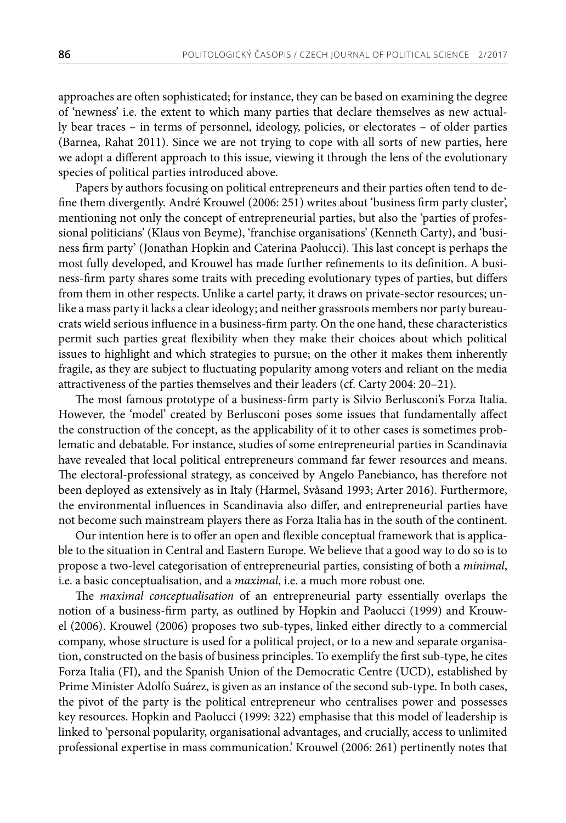approaches are often sophisticated; for instance, they can be based on examining the degree of 'newness' i.e. the extent to which many parties that declare themselves as new actually bear traces – in terms of personnel, ideology, policies, or electorates – of older parties (Barnea, Rahat 2011). Since we are not trying to cope with all sorts of new parties, here we adopt a different approach to this issue, viewing it through the lens of the evolutionary species of political parties introduced above.

Papers by authors focusing on political entrepreneurs and their parties often tend to define them divergently. André Krouwel (2006: 251) writes about 'business firm party cluster', mentioning not only the concept of entrepreneurial parties, but also the 'parties of professional politicians' (Klaus von Beyme), 'franchise organisations' (Kenneth Carty), and 'business firm party' (Jonathan Hopkin and Caterina Paolucci). This last concept is perhaps the most fully developed, and Krouwel has made further refinements to its definition. A business-firm party shares some traits with preceding evolutionary types of parties, but differs from them in other respects. Unlike a cartel party, it draws on private-sector resources; unlike a mass party it lacks a clear ideology; and neither grassroots members nor party bureaucrats wield serious influence in a business-firm party. On the one hand, these characteristics permit such parties great flexibility when they make their choices about which political issues to highlight and which strategies to pursue; on the other it makes them inherently fragile, as they are subject to fluctuating popularity among voters and reliant on the media attractiveness of the parties themselves and their leaders (cf. Carty 2004: 20–21).

The most famous prototype of a business-firm party is Silvio Berlusconi's Forza Italia. However, the 'model' created by Berlusconi poses some issues that fundamentally affect the construction of the concept, as the applicability of it to other cases is sometimes problematic and debatable. For instance, studies of some entrepreneurial parties in Scandinavia have revealed that local political entrepreneurs command far fewer resources and means. The electoral-professional strategy, as conceived by Angelo Panebianco, has therefore not been deployed as extensively as in Italy (Harmel, Svåsand 1993; Arter 2016). Furthermore, the environmental influences in Scandinavia also differ, and entrepreneurial parties have not become such mainstream players there as Forza Italia has in the south of the continent.

Our intention here is to offer an open and flexible conceptual framework that is applicable to the situation in Central and Eastern Europe. We believe that a good way to do so is to propose a two-level categorisation of entrepreneurial parties, consisting of both a *minimal*, i.e. a basic conceptualisation, and a *maximal*, i.e. a much more robust one.

The *maximal conceptualisation* of an entrepreneurial party essentially overlaps the notion of a business-firm party, as outlined by Hopkin and Paolucci (1999) and Krouwel (2006). Krouwel (2006) proposes two sub-types, linked either directly to a commercial company, whose structure is used for a political project, or to a new and separate organisation, constructed on the basis of business principles. To exemplify the first sub-type, he cites Forza Italia (FI), and the Spanish Union of the Democratic Centre (UCD), established by Prime Minister Adolfo Suárez, is given as an instance of the second sub-type. In both cases, the pivot of the party is the political entrepreneur who centralises power and possesses key resources. Hopkin and Paolucci (1999: 322) emphasise that this model of leadership is linked to 'personal popularity, organisational advantages, and crucially, access to unlimited professional expertise in mass communication.' Krouwel (2006: 261) pertinently notes that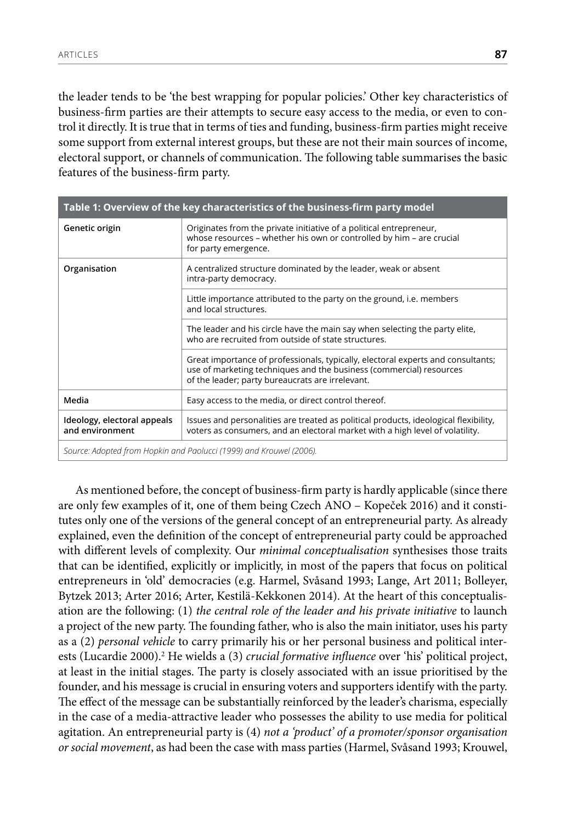the leader tends to be 'the best wrapping for popular policies.' Other key characteristics of business-firm parties are their attempts to secure easy access to the media, or even to control it directly. It is true that in terms of ties and funding, business-firm parties might receive some support from external interest groups, but these are not their main sources of income, electoral support, or channels of communication. The following table summarises the basic features of the business-firm party.

| Table 1: Overview of the key characteristics of the business-firm party model |                                                                                                                                                                                                             |
|-------------------------------------------------------------------------------|-------------------------------------------------------------------------------------------------------------------------------------------------------------------------------------------------------------|
| Genetic origin                                                                | Originates from the private initiative of a political entrepreneur,<br>whose resources - whether his own or controlled by him - are crucial<br>for party emergence.                                         |
| Organisation                                                                  | A centralized structure dominated by the leader, weak or absent<br>intra-party democracy.                                                                                                                   |
|                                                                               | Little importance attributed to the party on the ground, i.e. members<br>and local structures.                                                                                                              |
|                                                                               | The leader and his circle have the main say when selecting the party elite,<br>who are recruited from outside of state structures.                                                                          |
|                                                                               | Great importance of professionals, typically, electoral experts and consultants;<br>use of marketing techniques and the business (commercial) resources<br>of the leader; party bureaucrats are irrelevant. |
| Media                                                                         | Easy access to the media, or direct control thereof.                                                                                                                                                        |
| Ideology, electoral appeals<br>and environment                                | Issues and personalities are treated as political products, ideological flexibility,<br>voters as consumers, and an electoral market with a high level of volatility.                                       |
| Source: Adopted from Hopkin and Paolucci (1999) and Krouwel (2006).           |                                                                                                                                                                                                             |

As mentioned before, the concept of business-firm party is hardly applicable (since there are only few examples of it, one of them being Czech ANO – Kopeček 2016) and it constitutes only one of the versions of the general concept of an entrepreneurial party. As already explained, even the definition of the concept of entrepreneurial party could be approached with different levels of complexity. Our *minimal conceptualisation* synthesises those traits that can be identified, explicitly or implicitly, in most of the papers that focus on political entrepreneurs in 'old' democracies (e.g. Harmel, Svåsand 1993; Lange, Art 2011; Bolleyer, Bytzek 2013; Arter 2016; Arter, Kestilä-Kekkonen 2014). At the heart of this conceptualisation are the following: (1) *the central role of the leader and his private initiative* to launch a project of the new party. The founding father, who is also the main initiator, uses his party as a (2) *personal vehicle* to carry primarily his or her personal business and political interests (Lucardie 2000).<sup>2</sup> He wields a (3) *crucial formative influence* over 'his' political project, at least in the initial stages. The party is closely associated with an issue prioritised by the founder, and his message is crucial in ensuring voters and supporters identify with the party. The effect of the message can be substantially reinforced by the leader's charisma, especially in the case of a media-attractive leader who possesses the ability to use media for political agitation. An entrepreneurial party is (4) *not a 'product' of a promoter/sponsor organisation or social movement*, as had been the case with mass parties (Harmel, Svåsand 1993; Krouwel,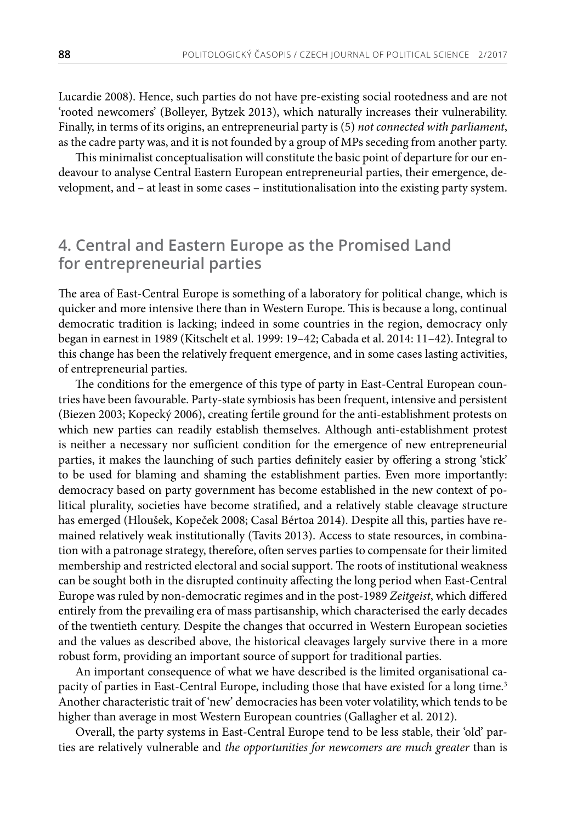Lucardie 2008). Hence, such parties do not have pre-existing social rootedness and are not 'rooted newcomers' (Bolleyer, Bytzek 2013), which naturally increases their vulnerability. Finally, in terms of its origins, an entrepreneurial party is (5) *not connected with parliament*, as the cadre party was, and it is not founded by a group of MPs seceding from another party.

This minimalist conceptualisation will constitute the basic point of departure for our endeavour to analyse Central Eastern European entrepreneurial parties, their emergence, development, and – at least in some cases – institutionalisation into the existing party system.

# **4. Central and Eastern Europe as the Promised Land for entrepreneurial parties**

The area of East-Central Europe is something of a laboratory for political change, which is quicker and more intensive there than in Western Europe. This is because a long, continual democratic tradition is lacking; indeed in some countries in the region, democracy only began in earnest in 1989 (Kitschelt et al. 1999: 19–42; Cabada et al. 2014: 11–42). Integral to this change has been the relatively frequent emergence, and in some cases lasting activities, of entrepreneurial parties.

The conditions for the emergence of this type of party in East-Central European countries have been favourable. Party-state symbiosis has been frequent, intensive and persistent (Biezen 2003; Kopecký 2006), creating fertile ground for the anti-establishment protests on which new parties can readily establish themselves. Although anti-establishment protest is neither a necessary nor sufficient condition for the emergence of new entrepreneurial parties, it makes the launching of such parties definitely easier by offering a strong 'stick' to be used for blaming and shaming the establishment parties. Even more importantly: democracy based on party government has become established in the new context of political plurality, societies have become stratified, and a relatively stable cleavage structure has emerged (Hloušek, Kopeček 2008; Casal Bértoa 2014). Despite all this, parties have remained relatively weak institutionally (Tavits 2013). Access to state resources, in combination with a patronage strategy, therefore, often serves parties to compensate for their limited membership and restricted electoral and social support. The roots of institutional weakness can be sought both in the disrupted continuity affecting the long period when East-Central Europe was ruled by non-democratic regimes and in the post-1989 *Zeitgeist*, which differed entirely from the prevailing era of mass partisanship, which characterised the early decades of the twentieth century. Despite the changes that occurred in Western European societies and the values as described above, the historical cleavages largely survive there in a more robust form, providing an important source of support for traditional parties.

An important consequence of what we have described is the limited organisational capacity of parties in East-Central Europe, including those that have existed for a long time.<sup>3</sup> Another characteristic trait of 'new' democracies has been voter volatility, which tends to be higher than average in most Western European countries (Gallagher et al. 2012).

Overall, the party systems in East-Central Europe tend to be less stable, their 'old' parties are relatively vulnerable and *the opportunities for newcomers are much greater* than is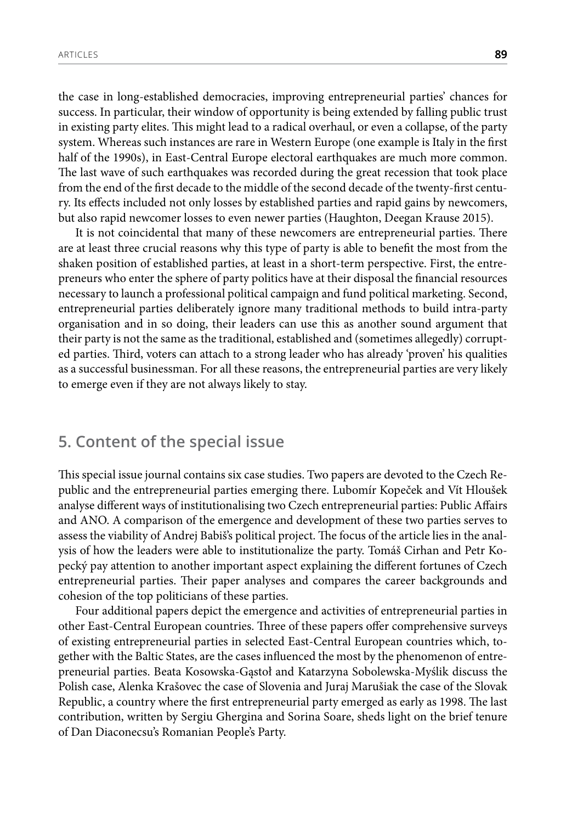the case in long-established democracies, improving entrepreneurial parties' chances for success. In particular, their window of opportunity is being extended by falling public trust in existing party elites. This might lead to a radical overhaul, or even a collapse, of the party system. Whereas such instances are rare in Western Europe (one example is Italy in the first half of the 1990s), in East-Central Europe electoral earthquakes are much more common. The last wave of such earthquakes was recorded during the great recession that took place from the end of the first decade to the middle of the second decade of the twenty-first century. Its effects included not only losses by established parties and rapid gains by newcomers, but also rapid newcomer losses to even newer parties (Haughton, Deegan Krause 2015).

It is not coincidental that many of these newcomers are entrepreneurial parties. There are at least three crucial reasons why this type of party is able to benefit the most from the shaken position of established parties, at least in a short-term perspective. First, the entrepreneurs who enter the sphere of party politics have at their disposal the financial resources necessary to launch a professional political campaign and fund political marketing. Second, entrepreneurial parties deliberately ignore many traditional methods to build intra-party organisation and in so doing, their leaders can use this as another sound argument that their party is not the same as the traditional, established and (sometimes allegedly) corrupted parties. Third, voters can attach to a strong leader who has already 'proven' his qualities as a successful businessman. For all these reasons, the entrepreneurial parties are very likely to emerge even if they are not always likely to stay.

# **5. Content of the special issue**

This special issue journal contains six case studies. Two papers are devoted to the Czech Republic and the entrepreneurial parties emerging there. Lubomír Kopeček and Vít Hloušek analyse different ways of institutionalising two Czech entrepreneurial parties: Public Affairs and ANO. A comparison of the emergence and development of these two parties serves to assess the viability of Andrej Babiš's political project. The focus of the article lies in the analysis of how the leaders were able to institutionalize the party. Tomáš Cirhan and Petr Kopecký pay attention to another important aspect explaining the different fortunes of Czech entrepreneurial parties. Their paper analyses and compares the career backgrounds and cohesion of the top politicians of these parties.

Four additional papers depict the emergence and activities of entrepreneurial parties in other East-Central European countries. Three of these papers offer comprehensive surveys of existing entrepreneurial parties in selected East-Central European countries which, together with the Baltic States, are the cases influenced the most by the phenomenon of entrepreneurial parties. Beata Kosowska-Gąstoł and Katarzyna Sobolewska-Myślik discuss the Polish case, Alenka Krašovec the case of Slovenia and Juraj Marušiak the case of the Slovak Republic, a country where the first entrepreneurial party emerged as early as 1998. The last contribution, written by Sergiu Ghergina and Sorina Soare, sheds light on the brief tenure of Dan Diaconecsu's Romanian People's Party.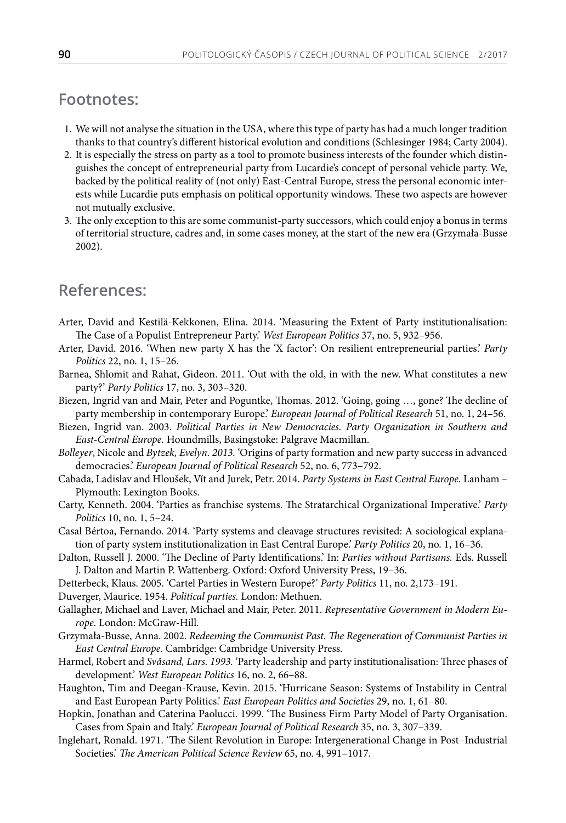# **Footnotes:**

- 1. We will not analyse the situation in the USA, where this type of party has had a much longer tradition thanks to that country's different historical evolution and conditions (Schlesinger 1984; Carty 2004).
- 2. It is especially the stress on party as a tool to promote business interests of the founder which distinguishes the concept of entrepreneurial party from Lucardie's concept of personal vehicle party. We, backed by the political reality of (not only) East-Central Europe, stress the personal economic interests while Lucardie puts emphasis on political opportunity windows. These two aspects are however not mutually exclusive.
- 3. The only exception to this are some communist-party successors, which could enjoy a bonus in terms of territorial structure, cadres and, in some cases money, at the start of the new era (Grzymała-Busse 2002).

### **References:**

- Arter, David and Kestilä-Kekkonen, Elina. 2014. 'Measuring the Extent of Party institutionalisation: The Case of a Populist Entrepreneur Party.' *West European Politics* 37, no. 5, 932–956.
- Arter, David. 2016. 'When new party X has the 'X factor': On resilient entrepreneurial parties.' *Party Politics* 22, no. 1, 15–26.
- Barnea, Shlomit and Rahat, Gideon. 2011. 'Out with the old, in with the new. What constitutes a new party?' *Party Politics* 17, no. 3, 303–320.
- Biezen, Ingrid van and Mair, Peter and Poguntke, Thomas. 2012. 'Going, going …, gone? The decline of party membership in contemporary Europe.' *European Journal of Political Research* 51, no. 1, 24–56.
- Biezen, Ingrid van. 2003. *Political Parties in New Democracies. Party Organization in Southern and East-Central Europe.* Houndmills, Basingstoke: Palgrave Macmillan.
- *Bolleyer*, Nicole and *Bytzek, Evelyn. 2013.* 'Origins of party formation and new party success in advanced democracies.' *European Journal of Political Research* 52, no. 6, 773–792.
- Cabada, Ladislav and Hloušek, Vít and Jurek, Petr. 2014. *Party Systems in East Central Europe.* Lanham Plymouth: Lexington Books.
- Carty, Kenneth. 2004. 'Parties as franchise systems. The Stratarchical Organizational Imperative.' *Party Politics* 10, no. 1, 5–24.
- Casal Bértoa, Fernando. 2014. 'Party systems and cleavage structures revisited: A sociological explanation of party system institutionalization in East Central Europe.' *Party Politics* 20, no. 1, 16–36.
- Dalton, Russell J. 2000. 'The Decline of Party Identifications.' In: *Parties without Partisans.* Eds. Russell J. Dalton and Martin P. Wattenberg. Oxford: Oxford University Press, 19–36.
- Detterbeck, Klaus. 2005. 'Cartel Parties in Western Europe?' *Party Politics* 11, no. 2,173–191.
- Duverger, Maurice. 1954. *Political parties.* London: Methuen.
- Gallagher, Michael and Laver, Michael and Mair, Peter. 2011. *Representative Government in Modern Europe.* London: McGraw-Hill.
- Grzymała-Busse, Anna. 2002. *Redeeming the Communist Past. The Regeneration of Communist Parties in East Central Europe.* Cambridge: Cambridge University Press.
- Harmel, Robert and *Svåsand, Lars. 1993.* 'Party leadership and party institutionalisation: Three phases of development.' *West European Politics* 16, no. 2, 66–88.
- Haughton, Tim and Deegan-Krause, Kevin. 2015. 'Hurricane Season: Systems of Instability in Central and East European Party Politics.' *East European Politics and Societies* 29, no. 1, 61–80.
- Hopkin, Jonathan and Caterina Paolucci. 1999. 'The Business Firm Party Model of Party Organisation. Cases from Spain and Italy.' *European Journal of Political Research* 35, no. 3, 307–339.
- Inglehart, Ronald. 1971. 'The Silent Revolution in Europe: Intergenerational Change in Post–Industrial Societies.' *The American Political Science Review* 65, no. 4, 991–1017.